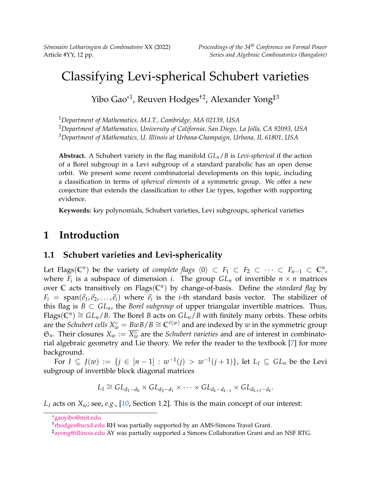*Séminaire Lotharingien de Combinatoire* XX (2022) *Proceedings of the 34th Conference on Formal Power*

# Classifying Levi-spherical Schubert varieties

Yibo Gao\*<sup>1</sup>, Reuven Hodges<sup>†2</sup>, Alexander Yong<sup>‡3</sup>

<sup>1</sup>*Department of Mathematics, M.I.T., Cambridge, MA 02139, USA*

<sup>2</sup>*Department of Mathematics, University of California, San Diego, La Jolla, CA 92093, USA*

<sup>3</sup>*Department of Mathematics, U. Illinois at Urbana-Champaign, Urbana, IL 61801, USA*

**Abstract.** A Schubert variety in the flag manifold *GLn*/*B* is *Levi-spherical* if the action of a Borel subgroup in a Levi subgroup of a standard parabolic has an open dense orbit. We present some recent combinatorial developments on this topic, including a classification in terms of *spherical elements* of a symmetric group. We offer a new conjecture that extends the classification to other Lie types, together with supporting evidence.

**Keywords:** key polynomials, Schubert varieties, Levi subgroups, spherical varieties

# **1 Introduction**

#### **1.1 Schubert varieties and Levi-sphericality**

Let Flags( $\mathbb{C}^n$ ) be the variety of *complete flags*  $\langle 0 \rangle \subset F_1 \subset F_2 \subset \cdots \subset F_{n-1} \subset \mathbb{C}^n$ , where  $F_i$  is a subspace of dimension *i*. The group  $GL_n$  of invertible  $n \times n$  matrices over **C** acts transitively on Flags(**C***<sup>n</sup>* ) by change-of-basis. Define the *standard flag* by  $F_i = \text{span}(\vec{e}_1, \vec{e}_2, \dots, \vec{e}_i)$  where  $\vec{e}_i$  is the *i*-th standard basis vector. The stabilizer of this flag is  $B \subset GL_n$ , the *Borel subgroup* of upper triangular invertible matrices. Thus,  $Flags(\mathbb{C}^n) \cong GL_n/B$ . The Borel *B* acts on  $GL_n/B$  with finitely many orbits. These orbits are the *Schubert cells*  $X_w^{\circ} = BwB/B \cong \mathbb{C}^{\ell(w)}$  and are indexed by  $w$  in the symmetric group  $\mathfrak{S}_n$ . Their closures  $X_w := \overline{X_w^{\circ}}$  are the *Schubert varieties* and are of interest in combinatorial algebraic geometry and Lie theory. We refer the reader to the textbook [\[7\]](#page-11-0) for more background.

For *I* ⊆ *J*(*w*) := {*j* ∈  $[n-1]$  :  $w^{-1}(j) > w^{-1}(j+1)$ }, let  $L_I$  ⊆  $GL_n$  be the Levi subgroup of invertible block diagonal matrices

$$
L_I \cong GL_{d_1-d_0} \times GL_{d_2-d_1} \times \cdots \times GL_{d_k-d_{k-1}} \times GL_{d_{k+1}-d_k}.
$$

<span id="page-0-0"></span>*L<sup>I</sup>* acts on *Xw*; see, *e.g.*, [\[10,](#page-11-1) Section 1.2]. This is the main concept of our interest:

<sup>\*</sup>[gaoyibo@mit.edu](mailto:gaoyibo@mit.edu)

<sup>&</sup>lt;sup>†</sup>[rhodges@ucsd.edu](mailto:rhodges@ucsd.edu) RH was partially supported by an AMS-Simons Travel Grant.

<sup>‡</sup>[ayong@illinois.edu](mailto:ayong@illinois.edu) AY was partially supported a Simons Collaboration Grant and an NSF RTG.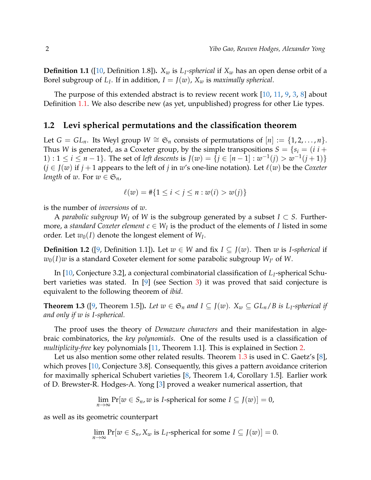**Definition 1.1** ([\[10,](#page-11-1) Definition 1.8])**.** *X<sup>w</sup>* is *L<sup>I</sup> -spherical* if *X<sup>w</sup>* has an open dense orbit of a Borel subgroup of  $L_I$ . If in addition,  $I = J(w)$ ,  $X_w$  is *maximally spherical*.

The purpose of this extended abstract is to review recent work [\[10,](#page-11-1) [11,](#page-11-2) [9,](#page-11-3) [3,](#page-10-0) [8\]](#page-11-4) about Definition [1.1.](#page-0-0) We also describe new (as yet, unpublished) progress for other Lie types.

#### **1.2 Levi spherical permutations and the classification theorem**

Let *G* = *GL*<sub>*n*</sub>. Its Weyl group *W* ≅  $\mathfrak{S}_n$  consists of permutations of  $[n] := \{1, 2, ..., n\}$ . Thus *W* is generated, as a Coxeter group, by the simple transpositions  $S = \{s_i = (i \ i +$ 1) : 1 ≤ *i* ≤ *n* − 1}. The set of *left descents* is *J*(*w*) = {*j* ∈ [*n* − 1] :  $w^{-1}(j) > w^{-1}(j + 1)$ }  $(j \in J(w)$  if  $j + 1$  appears to the left of  $j$  in  $w$ 's one-line notation). Let  $\ell(w)$  be the *Coxeter length* of *w*. For  $w \in \mathfrak{S}_n$ ,

$$
\ell(w) = #\{1 \le i < j \le n : w(i) > w(j)\}
$$

is the number of *inversions* of *w*.

A *parabolic subgroup*  $W_I$  of  $W$  is the subgroup generated by a subset  $I \subset S$ . Furthermore, a *standard Coxeter element*  $c \in W_I$  is the product of the elements of *I* listed in some order. Let  $w_0(I)$  denote the longest element of  $W_I$ .

<span id="page-1-1"></span>**Definition 1.2** ([\[9,](#page-11-3) Definition 1.1]). Let  $w \in W$  and fix  $I \subseteq J(w)$ . Then *w* is *I-spherical* if  $w_0(I)w$  is a standard Coxeter element for some parabolic subgroup  $W_{I'}$  of  $W$ .

In [\[10,](#page-11-1) Conjecture 3.2], a conjectural combinatorial classification of *L<sup>I</sup>* -spherical Schubert varieties was stated. In [\[9\]](#page-11-3) (see Section [3\)](#page-6-0) it was proved that said conjecture is equivalent to the following theorem of *ibid*.

<span id="page-1-0"></span>**Theorem 1.3** ([\[9,](#page-11-3) Theorem 1.5]). Let  $w \in \mathfrak{S}_n$  and  $I \subseteq J(w)$ .  $X_w \subseteq GL_n/B$  is  $L_I$ -spherical if *and only if w is I-spherical.*

The proof uses the theory of *Demazure characters* and their manifestation in algebraic combinatorics, the *key polynomials*. One of the results used is a classification of *multiplicity-free* key polynomials [\[11,](#page-11-2) Theorem 1.1]. This is explained in Section [2.](#page-2-0)

Let us also mention some other related results. Theorem [1.3](#page-1-0) is used in C. Gaetz's [\[8\]](#page-11-4), which proves [\[10,](#page-11-1) Conjecture 3.8]. Consequently, this gives a pattern avoidance criterion for maximally spherical Schubert varieties [\[8,](#page-11-4) Theorem 1.4, Corollary 1.5]. Earlier work of D. Brewster-R. Hodges-A. Yong [\[3\]](#page-10-0) proved a weaker numerical assertion, that

$$
\lim_{n \to \infty} \Pr[w \in S_n, w \text{ is } I\text{-spherical for some } I \subseteq J(w)] = 0,
$$

as well as its geometric counterpart

$$
\lim_{n\to\infty} \Pr[w \in S_n, X_w \text{ is } L_I\text{-spherical for some } I \subseteq J(w)] = 0.
$$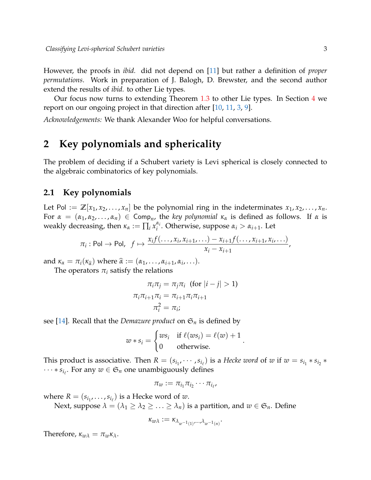However, the proofs in *ibid.* did not depend on [\[11\]](#page-11-2) but rather a definition of *proper permutations*. Work in preparation of J. Balogh, D. Brewster, and the second author extend the results of *ibid.* to other Lie types.

Our focus now turns to extending Theorem [1.3](#page-1-0) to other Lie types. In Section [4](#page-8-0) we report on our ongoing project in that direction after [\[10,](#page-11-1) [11,](#page-11-2) [3,](#page-10-0) [9\]](#page-11-3).

*Acknowledgements:* We thank Alexander Woo for helpful conversations.

# <span id="page-2-0"></span>**2 Key polynomials and sphericality**

The problem of deciding if a Schubert variety is Levi spherical is closely connected to the algebraic combinatorics of key polynomials.

#### **2.1 Key polynomials**

Let Pol :=  $\mathbb{Z}[x_1, x_2, \ldots, x_n]$  be the polynomial ring in the indeterminates  $x_1, x_2, \ldots, x_n$ . For  $\alpha = (\alpha_1, \alpha_2, \ldots, \alpha_n) \in \text{Comp}_n$ , the *key polynomial*  $\kappa_\alpha$  is defined as follows. If  $\alpha$  is weakly decreasing, then  $\kappa_{\alpha} := \prod_i x_i^{\alpha_i}$ *i* . Otherwise, suppose *α<sup>i</sup>* > *αi*+<sup>1</sup> . Let

$$
\pi_i: \text{Pol} \to \text{Pol}, \ \ f \mapsto \frac{x_i f(\ldots, x_i, x_{i+1}, \ldots) - x_{i+1} f(\ldots, x_{i+1}, x_i, \ldots)}{x_i - x_{i+1}},
$$

and  $\kappa_{\alpha} = \pi_i(\kappa_{\hat{\alpha}})$  where  $\hat{\alpha} := (\alpha_1, \dots, \alpha_{i+1}, \alpha_i, \dots)$ .<br>The examples  $\pi$  estisfy the solutions

The operators  $\pi_i$  satisfy the relations

$$
\pi_i \pi_j = \pi_j \pi_i \text{ (for } |i - j| > 1)
$$

$$
\pi_i \pi_{i+1} \pi_i = \pi_{i+1} \pi_i \pi_{i+1}
$$

$$
\pi_i^2 = \pi_i;
$$

see [\[14\]](#page-11-5). Recall that the *Demazure product* on  $\mathfrak{S}_n$  is defined by

$$
w * s_i = \begin{cases} ws_i & \text{if } \ell(ws_i) = \ell(w) + 1\\ 0 & \text{otherwise.} \end{cases}
$$

.

This product is associative. Then  $R = (s_{i_1}, \dots, s_{i_\ell})$  is a *Hecke word* of  $w$  if  $w = s_{i_1} * s_{i_2} *$  $\cdots * s_{i_\ell}$ . For any  $w \in \mathfrak{S}_n$  one unambiguously defines

$$
\pi_w:=\pi_{i_1}\pi_{i_2}\cdots\pi_{i_{\ell'}}
$$

where  $R = (s_{i_1}, \ldots, s_{i_\ell})$  is a Hecke word of  $w$ .

Next, suppose  $\lambda = (\lambda_1 \geq \lambda_2 \geq \ldots \geq \lambda_n)$  is a partition, and  $w \in \mathfrak{S}_n$ . Define

$$
\kappa_{w\lambda} := \kappa_{\lambda_{w^{-1}(1)},\dots,\lambda_{w^{-1}(n)}}.
$$

Therefore,  $\kappa_{w\lambda} = \pi_w \kappa_{\lambda}$ .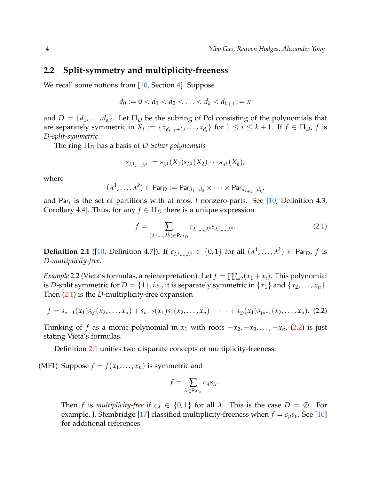#### **2.2 Split-symmetry and multiplicity-freeness**

We recall some notions from [\[10,](#page-11-1) Section 4]. Suppose

$$
d_0 := 0 < d_1 < d_2 < \ldots < d_k < d_{k+1} := n
$$

and  $D = \{d_1, \ldots, d_k\}$ . Let  $\Pi_D$  be the subring of Pol consisting of the polynomials that are separately symmetric in  $X_i := \{x_{d_{i-1}+1}, \ldots, x_{d_i}\}$  for  $1 \leq i \leq k+1$ . If  $f \in \Pi_D$ ,  $f$  is *D-split-symmetric*.

The ring Π*<sup>D</sup>* has a basis of *D-Schur polynomials*

$$
s_{\lambda^1,\ldots,\lambda^k} := s_{\lambda^1}(X_1)s_{\lambda^2}(X_2)\cdots s_{\lambda^k}(X_k),
$$

where

$$
(\lambda^1, \ldots, \lambda^k) \in \mathsf{Par}_D := \mathsf{Par}_{d_1 - d_0} \times \cdots \times \mathsf{Par}_{d_{k+1} - d_k},
$$

and Par*<sup>t</sup>* is the set of partitions with at most *t* nonzero-parts. See [\[10,](#page-11-1) Definition 4.3, Corollary 4.4]. Thus, for any  $f \in \Pi_D$  there is a unique expression

<span id="page-3-1"></span><span id="page-3-0"></span>
$$
f = \sum_{(\lambda^1,\dots,\lambda^k)\in \text{Par}_D} c_{\lambda^1,\dots,\lambda^k} s_{\lambda^1,\dots,\lambda^k}.
$$
 (2.1)

<span id="page-3-2"></span>**Definition 2.1** ([\[10,](#page-11-1) Definition 4.7]). If  $c_{\lambda^1,\dots,\lambda^k} \in \{0,1\}$  for all  $(\lambda^1,\dots,\lambda^k) \in \mathsf{Par}_D$ ,  $f$  is *D-multiplicity-free*.

*Example* 2.2 (Vieta's formulas, a reinterpretation). Let  $f = \prod_{i=2}^{n} (x_1 + x_i)$ . This polynomial is *D*-split symmetric for  $D = \{1\}$ , *i.e.*, it is separately symmetric in  $\{x_1\}$  and  $\{x_2, \ldots, x_n\}$ . Then [\(2.1\)](#page-3-0) is the *D*-multiplicity-free expansion

$$
f = s_{n-1}(x_1)s_{\emptyset}(x_2,\ldots,x_n) + s_{n-2}(x_1)s_1(x_2,\ldots,x_n) + \cdots + s_{\emptyset}(x_1)s_{1^{n-1}}(x_2,\ldots,x_n).
$$
 (2.2)

Thinking of *f* as a monic polynomial in  $x_1$  with roots  $-x_2, -x_3, \ldots, -x_n$ , [\(2.2\)](#page-3-1) is just stating Vieta's formulas.

Definition [2.1](#page-3-2) unifies two disparate concepts of multiplicity-freeness:

(MF1) Suppose  $f = f(x_1, \ldots, x_n)$  is symmetric and

$$
f=\sum_{\lambda\in Par_n}c_{\lambda}s_{\lambda}.
$$

Then *f* is *multiplicity-free* if  $c_{\lambda} \in \{0,1\}$  for all  $\lambda$ . This is the case  $D = \emptyset$ . For example, J. Stembridge [\[17\]](#page-11-6) classified multiplicity-freeness when  $f = s_{\mu} s_{\nu}$ . See [\[10\]](#page-11-1) for additional references.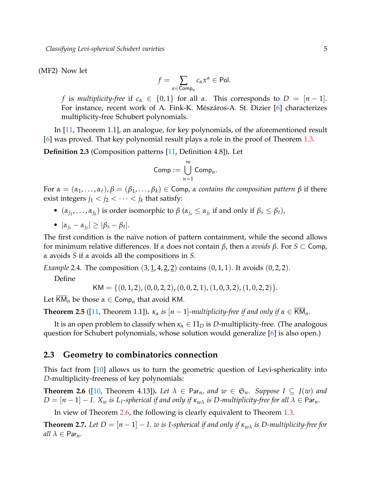(MF2) Now let

$$
f = \sum_{\alpha \in \operatorname{Comp}_n} c_{\alpha} x^{\alpha} \in \operatorname{Pol}.
$$

*f* is *multiplicity-free* if  $c_{\alpha} \in \{0, 1\}$  for all  $\alpha$ . This corresponds to  $D = [n-1]$ . For instance, recent work of A. Fink-K. Mészáros-A. St. Dizier [\[6\]](#page-11-7) characterizes multiplicity-free Schubert polynomials.

In [\[11,](#page-11-2) Theorem 1.1], an analogue, for key polynomials, of the aforementioned result [\[6\]](#page-11-7) was proved. That key polynomial result plays a role in the proof of Theorem [1.3.](#page-1-0)

**Definition 2.3** (Composition patterns [\[11,](#page-11-2) Definition 4.8])**.** Let

Comp := 
$$
\bigcup_{n=1}^{\infty} \text{Comp}_n.
$$

For  $\alpha = (\alpha_1, \ldots, \alpha_\ell), \beta = (\beta_1, \ldots, \beta_k) \in \text{Comp}, \alpha$  *contains the composition pattern*  $\beta$  if there exist integers  $j_1 < j_2 < \cdots < j_k$  that satisfy:

- $(\alpha_{j_1}, \ldots, \alpha_{j_k})$  is order isomorphic to  $\beta$   $(\alpha_{j_s} \leq \alpha_{j_t}$  if and only if  $\beta_s \leq \beta_t$ ),
- $|\alpha_{j_s} \alpha_{j_t}| \geq |\beta_s \beta_t|.$

The first condition is the naïve notion of pattern containment, while the second allows for minimum relative differences. If *α* does not contain *β*, then *α avoids β*. For *S* ⊂ Comp, *α* avoids *S* if *α* avoids all the compositions in *S*.

*Example* 2.4. The composition  $(3, 1, 4, 2, 2)$  contains  $(0, 1, 1)$ . It avoids  $(0, 2, 2)$ .

Define

$$
KM = \{(0, 1, 2), (0, 0, 2, 2), (0, 0, 2, 1), (1, 0, 3, 2), (1, 0, 2, 2)\}.
$$

Let  $\overline{\mathsf{KM}}_n$  be those  $\alpha \in \mathsf{Comp}_n$  that avoid KM.

**Theorem 2.5** ([\[11,](#page-11-2) Theorem 1.1]).  $\kappa_{\alpha}$  *is*  $[n-1]$ *-multiplicity-free if and only if*  $\alpha \in \overline{KM}_n$ *.* 

It is an open problem to classify when  $\kappa_{\alpha} \in \Pi_D$  is *D*-multiplicity-free. (The analogous question for Schubert polynomials, whose solution would generalize [\[6\]](#page-11-7) is also open.)

#### **2.3 Geometry to combinatorics connection**

This fact from [\[10\]](#page-11-1) allows us to turn the geometric question of Levi-sphericality into *D*-multiplicity-freeness of key polynomials:

<span id="page-4-0"></span>**Theorem 2.6** ([\[10,](#page-11-1) Theorem 4.13]). Let  $\lambda \in \text{Par}_n$ , and  $w \in \mathfrak{S}_n$ . Suppose  $I \subseteq J(w)$  and  $D = [n-1] - I$ .  $X_w$  is  $L_I$ -spherical if and only if  $\kappa_{w\lambda}$  is  $D$ -multiplicity-free for all  $\lambda \in \mathsf{Par}_n$ .

In view of Theorem [2.6,](#page-4-0) the following is clearly equivalent to Theorem [1.3.](#page-1-0)

<span id="page-4-1"></span>**Theorem 2.7.** *Let*  $D = [n-1] - I$ *. w is I-spherical if and only if*  $\kappa_{w\lambda}$  *is D-multiplicity-free for*  $all \lambda \in \text{Par}_n$ .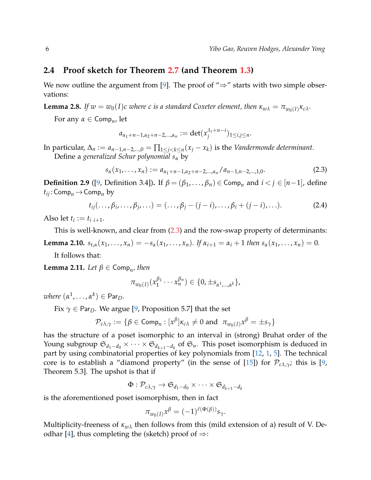#### **2.4 Proof sketch for Theorem [2.7](#page-4-1) (and Theorem [1.3\)](#page-1-0)**

We now outline the argument from [\[9\]](#page-11-3). The proof of " $\Rightarrow$ " starts with two simple observations:

**Lemma 2.8.** *If*  $w = w_0(I)c$  where c is a standard Coxeter element, then  $\kappa_{w\lambda} = \pi_{w_0(I)}\kappa_{c\lambda}$ .

For any *α* ∈ Comp*<sup>n</sup>* , let

<span id="page-5-0"></span>
$$
a_{\alpha_1+n-1,\alpha_2+n-2,\dots,\alpha_n} := \det(x_j^{\lambda_i+n-i})_{1 \le i,j \le n}.
$$

In particular,  $\Delta_n := a_{n-1,n-2,...,0} = \prod_{1 \leq j < k \leq n} (x_j - x_k)$  is the *Vandermonde determinant*. Define a *generalized Schur polynomial s<sup>α</sup>* by

$$
s_{\alpha}(x_1,\ldots,x_n) := a_{\alpha_1+n-1,\alpha_2+n-2,\ldots,\alpha_n}/a_{n-1,n-2,\ldots,1,0}.
$$
 (2.3)

**Definition 2.9** ([\[9,](#page-11-3) Definition 3.4]). If  $\beta = (\beta_1, \ldots, \beta_n)$  ∈ Com $p_n$  and  $i < j$  ∈ [*n*−1], define  $t_{ij}$ : Comp<sub>*n*</sub>  $\rightarrow$  Comp<sub>*n*</sub> by

$$
t_{ij}(\ldots,\beta_i,\ldots,\beta_j,\ldots)=(\ldots,\beta_j-(j-i),\ldots,\beta_i+(j-i),\ldots).
$$
 (2.4)

Also let  $t_i := t_{i,i+1}$ .

This is well-known, and clear from  $(2.3)$  and the row-swap property of determinants:

<span id="page-5-1"></span>**Lemma 2.10.**  $s_{t_i, \alpha}(x_1, ..., x_n) = -s_{\alpha}(x_1, ..., x_n)$ . If  $\alpha_{i+1} = \alpha_i + 1$  then  $s_{\alpha}(x_1, ..., x_n) = 0$ .

It follows that:

**Lemma 2.11.** *Let*  $\beta \in \textsf{Comp}_n$ , *then* 

$$
\pi_{w_0(I)}(x_1^{\beta_1}\cdots x_n^{\beta_n}) \in \{0, \pm s_{\alpha^1,\dots,\alpha^k}\},
$$

 $where ( \alpha^1, \ldots, \alpha^k ) \in \mathsf{Par}_D.$ 

Fix  $\gamma \in \text{Par}_D$ . We argue [\[9,](#page-11-3) Proposition 5.7] that the set

$$
\mathcal{P}_{c\lambda,\gamma} := \{ \beta \in \textsf{Comp}_n : [x^{\beta}] \kappa_{c\lambda} \neq 0 \text{ and } \pi_{w_0(I)} x^{\beta} = \pm s_{\gamma} \}
$$

has the structure of a poset isomorphic to an interval in (strong) Bruhat order of the Young subgroup  $\mathfrak{S}_{d_1-d_0}\times\cdots\times\mathfrak{S}_{d_{k+1}-d_k}$  of  $\mathfrak{S}_n$ . This poset isomorphism is deduced in part by using combinatorial properties of key polynomials from [\[12,](#page-11-8) [1,](#page-10-1) [5\]](#page-11-9). The technical core is to establish a "diamond property" (in the sense of [\[15\]](#page-11-10)) for  $\mathcal{P}_{c\lambda,\gamma}$ ; this is [\[9,](#page-11-3) Theorem 5.3]. The upshot is that if

$$
\Phi: \mathcal{P}_{{c}\lambda,\gamma} \to \mathfrak{S}_{d_1-d_0} \times \cdots \times \mathfrak{S}_{d_{k+1}-d_k}
$$

is the aforementioned poset isomorphism, then in fact

$$
\pi_{w_0(I)} x^{\beta} = (-1)^{\ell(\Phi(\beta))} s_{\gamma}.
$$

Multiplicity-freeness of *κw<sup>λ</sup>* then follows from this (mild extension of a) result of V. De-odhar [\[4\]](#page-11-11), thus completing the (sketch) proof of  $\Rightarrow$ :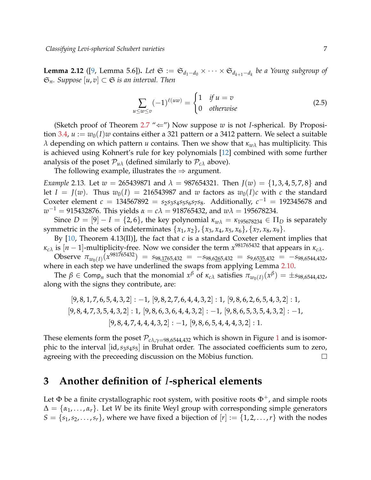**Lemma 2.12** ([\[9,](#page-11-3) Lemma 5.6]). Let  $\mathfrak{S} := \mathfrak{S}_{d_1-d_0} \times \cdots \times \mathfrak{S}_{d_{k+1}-d_k}$  be a Young subgroup of  $\mathfrak{S}_n$ *. Suppose* [*u*, *v*]  $\subset$   $\mathfrak{S}$  *is an interval. Then* 

$$
\sum_{u \le w \le v} (-1)^{\ell(uw)} = \begin{cases} 1 & \text{if } u = v \\ 0 & \text{otherwise} \end{cases}
$$
 (2.5)

(Sketch proof of Theorem  $2.7$  " $\Leftarrow$ ") Now suppose *w* is not *I*-spherical. By Proposi-tion [3.4,](#page-8-1)  $u := w_0(I)w$  contains either a 321 pattern or a 3412 pattern. We select a suitable *λ* depending on which pattern *u* contains. Then we show that *κw<sup>λ</sup>* has multiplicity. This is achieved using Kohnert's rule for key polynomials [\[12\]](#page-11-8) combined with some further analysis of the poset  $\mathcal{P}_{u\lambda}$  (defined similarly to  $\mathcal{P}_{c\lambda}$  above).

The following example, illustrates the  $\Rightarrow$  argument.

*Example* 2.13*.* Let  $w = 265439871$  and  $\lambda = 987654321$ . Then  $J(w) = \{1, 3, 4, 5, 7, 8\}$  and let  $I = J(w)$ . Thus  $w_0(I) = 216543987$  and w factors as  $w_0(I)c$  with c the standard Coxeter element  $c = 134567892 = s_2s_3s_4s_5s_6s_7s_8$ . Additionally,  $c^{-1} = 192345678$  and  $w^{-1} = 915432876$ . This yields  $\alpha = c\lambda = 918765432$ , and  $w\lambda = 195678234$ .

Since  $D = [9] - I = \{2, 6\}$ , the key polynomial  $\kappa_{w\lambda} = \kappa_{195678234} \in \Pi_D$  is separately symmetric in the sets of indeterminates  $\{x_1, x_2\}$ ,  $\{x_3, x_4, x_5, x_6\}$ ,  $\{x_7, x_8, x_9\}$ .

By [\[10,](#page-11-1) Theorem 4.13(II)], the fact that *c* is a standard Coxeter element implies that  $\kappa_{c\lambda}$  is  $[n-1]$ -multiplicity-free. Now we consider the term  $x^{981765432}$  that appears in  $\kappa_{c\lambda}$ .

 $\text{Observe}$   $\pi_{w_0(I)}(x^{981765432}) = s_{98,1765,432} = -s_{98,6265,432} = s_{9,6535,432} = -s_{98,6544,432}$ where in each step we have underlined the swaps from applying Lemma [2.10.](#page-5-1)

The  $\beta \in \textsf{Comp}_n$  such that the monomial  $x^\beta$  of  $\kappa_{c\lambda}$  satisfies  $\pi_{w_0(I)}(x^\beta) = \pm s_{98,6544,432}$ along with the signs they contribute, are:

$$
[9,8,1,7,6,5,4,3,2]: -1, [9,8,2,7,6,4,4,3,2]: 1, [9,8,6,2,6,5,4,3,2]: 1, [9,8,4,7,3,5,4,3,2]: 1, [9,8,6,3,6,4,4,3,2]: -1, [9,8,6,5,3,5,4,3,2]: -1, [9,8,4,7,4,4,4,3,2]: -1, [9,8,6,5,4,4,4,3,2]: 1.
$$

These elements form the poset  $\mathcal{P}_{c\lambda,\gamma=98,6544,432}$  which is shown in Figure [1](#page-7-0) and is isomorphic to the interval [id,*s*3*s*4*s*5] in Bruhat order. The associated coefficients sum to zero, agreeing with the preceeding discussion on the Möbius function.  $\Box$ 

### <span id="page-6-0"></span>**3 Another definition of** *I***-spherical elements**

Let  $\Phi$  be a finite crystallographic root system, with positive roots  $\Phi^+$ , and simple roots  $\Delta = {\alpha_1, \ldots, \alpha_r}$ . Let *W* be its finite Weyl group with corresponding simple generators  $S = \{s_1, s_2, \ldots, s_r\}$ , where we have fixed a bijection of  $[r] := \{1, 2, \ldots, r\}$  with the nodes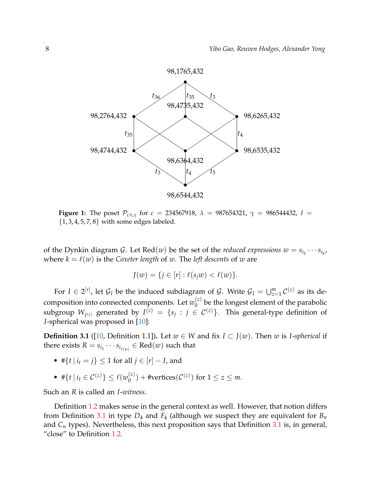<span id="page-7-0"></span>

**Figure 1:** The poset  $P_{c\lambda,\gamma}$  for  $c = 234567918$ ,  $\lambda = 987654321$ ,  $\gamma = 986544432$ ,  $I =$  $\{1, 3, 4, 5, 7, 8\}$  with some edges labeled.

of the Dynkin diagram  $\mathcal{G}$ . Let  $\text{Red}(w)$  be the set of the *reduced expressions*  $w = s_{i_1} \cdots s_{i_k}$ , where  $k = \ell(w)$  is the *Coxeter length* of *w*. The *left descents* of *w* are

$$
J(w) = \{ j \in [r] : \ell(s_j w) < \ell(w) \}.
$$

For  $I \in 2^{[r]}$ , let  $\mathcal{G}_I$  be the induced subdiagram of  $\mathcal{G}$ . Write  $\mathcal{G}_I = \bigcup_{z=1}^m \mathcal{C}^{(z)}$  as its decomposition into connected components. Let  $w_0^{(z)}$  $\int_{0}^{2}$  be the longest element of the parabolic subgroup  $W_{I^{(z)}}$  generated by  $I^{(z)} = \{s_j : j \in C^{(z)}\}$ . This general-type definition of *I*-spherical was proposed in [\[10\]](#page-11-1):

<span id="page-7-1"></span>**Definition 3.1** ([\[10,](#page-11-1) Definition 1.1]). Let *w* ∈ *W* and fix *I* ⊂ *J*(*w*). Then *w* is *I-spherical* if there exists  $R = s_{i_1} \cdots s_{i_{\ell(w)}} \in \text{Red}(w)$  such that

- # $\{t \mid i_t = j\} \leq 1$  for all  $j \in [r] I$ , and
- #{*t* | *i*<sub>t</sub> ∈  $\mathcal{C}^{(z)}$ } ≤  $\ell(w_0^{(z)})$  $\binom{z}{0}$  + #vertices( $\mathcal{C}^{(z)}$ ) for  $1 \leq z \leq m$ .

Such an *R* is called an *I*-*witness*.

<span id="page-7-2"></span>Definition [1.2](#page-1-1) makes sense in the general context as well. However, that notion differs from Definition [3.1](#page-7-1) in type *D*<sup>4</sup> and *F*<sup>4</sup> (although we suspect they are equivalent for *B<sup>n</sup>* and *C<sup>n</sup>* types). Nevertheless, this next proposition says that Definition [3.1](#page-7-1) is, in general, "close" to Definition [1.2.](#page-1-1)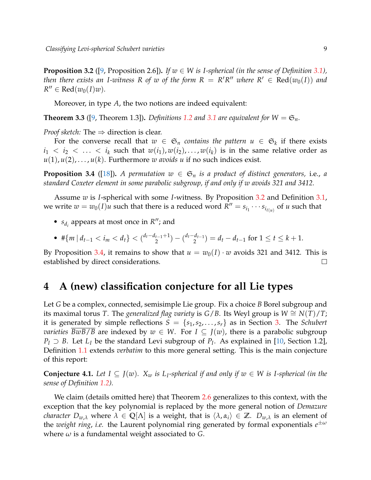**Proposition 3.2** ([\[9,](#page-11-3) Proposition 2.6]). If  $w \in W$  is I-spherical (in the sense of Definition [3.1\)](#page-7-1), *then there exists an I-witness R of w of the form*  $R = R'R''$  *where*  $R' \in Red(w_0(I))$  *and*  $R'' \in \text{Red}(w_0(I)w)$ *.* 

Moreover, in type *A*, the two notions are indeed equivalent:

**Theorem 3.3** ([\[9,](#page-11-3) Theorem 1.3]). *Definitions [1.2](#page-1-1) and [3.1](#page-7-1) are equivalent for*  $W = \mathfrak{S}_n$ *.* 

*Proof sketch:* The  $\Rightarrow$  direction is clear.

For the converse recall that  $w \in \mathfrak{S}_n$  *contains the pattern*  $u \in \mathfrak{S}_k$  if there exists  $i_1 < i_2 < \ldots < i_k$  such that  $w(i_1), w(i_2), \ldots, w(i_k)$  is in the same relative order as  $u(1), u(2), \ldots, u(k)$ . Furthermore *w avoids u* if no such indices exist.

<span id="page-8-1"></span>**Proposition 3.4** ([\[18\]](#page-11-12)). A permutation  $w \in \mathfrak{S}_n$  is a product of distinct generators, i.e., a *standard Coxeter element in some parabolic subgroup, if and only if w avoids 321 and 3412.*

Assume *w* is *I*-spherical with some *I*-witness. By Proposition [3.2](#page-7-2) and Definition [3.1,](#page-7-1) we write  $w = w_0(I)u$  such that there is a reduced word  $\overline{R}'' = s_{i_1} \cdots s_{i_{\ell(u)}}$  of *u* such that

- $s_{d_i}$  appears at most once in  $R''$ ; and
- $\#\{m \mid d_{t-1} < i_m < d_t\} < {d_t d_{t-1} + 1 \choose 2}$  $\binom{t-1+1}{2} - \binom{d_t-d_{t-1}}{2}$  $\binom{a_{t-1}}{2} = d_t - d_{t-1}$  for  $1 \leq t \leq k+1$ .

By Proposition [3.4,](#page-8-1) it remains to show that  $u = w_0(I) \cdot w$  avoids 321 and 3412. This is established by direct considerations.  $\Box$ 

## <span id="page-8-0"></span>**4 A (new) classification conjecture for all Lie types**

Let *G* be a complex, connected, semisimple Lie group. Fix a choice *B* Borel subgroup and its maximal torus *T*. The *generalized flag variety* is *G*/*B*. Its Weyl group is  $W \cong N(T)/T$ ; it is generated by simple reflections  $S = \{s_1, s_2, \ldots, s_r\}$  as in Section [3.](#page-6-0) The *Schubert varieties*  $BwB/B$  are indexed by  $w \in W$ . For  $I \subseteq J(w)$ , there is a parabolic subgroup *P*<sup>*I*</sup> ⊃ *B*. Let *L*<sup>*I*</sup> be the standard Levi subgroup of *P*<sup>*I*</sup>. As explained in [\[10,](#page-11-1) Section 1.2], Definition [1.1](#page-0-0) extends *verbatim* to this more general setting. This is the main conjecture of this report:

<span id="page-8-2"></span>**Conjecture 4.1.** Let  $I \subseteq J(w)$ .  $X_w$  is  $L_I$ -spherical if and only if  $w \in W$  is I-spherical (in the *sense of Definition [1.2\)](#page-1-1).*

We claim (details omitted here) that Theorem [2.6](#page-4-0) generalizes to this context, with the exception that the key polynomial is replaced by the more general notion of *Demazure character*  $D_{w,\lambda}$  where  $\lambda \in \mathbb{Q}[\Lambda]$  is a weight, that is  $\langle \lambda, \alpha_i \rangle \in \mathbb{Z}$ .  $D_{w,\lambda}$  is an element of the *weight ring*, *i.e.* the Laurent polynomial ring generated by formal exponentials *e* ±*ω* where  $\omega$  is a fundamental weight associated to *G*.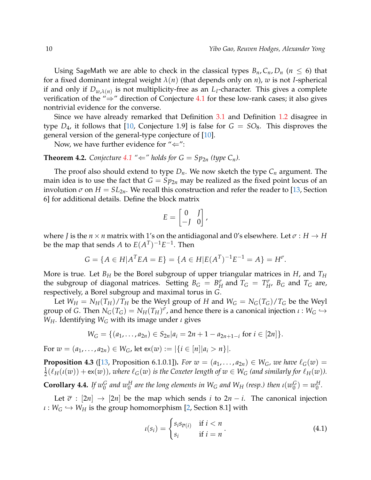Using SageMath we are able to check in the classical types  $B_n$ ,  $C_n$ ,  $D_n$  ( $n \leq 6$ ) that for a fixed dominant integral weight *λ*(*n*) (that depends only on *n*), *w* is not *I*-spherical if and only if  $D_{w,\lambda(n)}$  is not multiplicity-free as an  $L_I$ -character. This gives a complete verification of the "⇒" direction of Conjecture [4.1](#page-8-2) for these low-rank cases; it also gives nontrivial evidence for the converse.

Since we have already remarked that Definition [3.1](#page-7-1) and Definition [1.2](#page-1-1) disagree in type  $D_4$ , it follows that [\[10,](#page-11-1) Conjecture 1.9] is false for  $G = SO_8$ . This disproves the general version of the general-type conjecture of [\[10\]](#page-11-1).

Now, we have further evidence for " $\Leftarrow$ ":

<span id="page-9-2"></span>**Theorem 4.2.** Conjecture [4.1](#page-8-2) " $\Leftarrow$ " holds for  $G = Sp_{2n}$  (type  $C_n$ ).

The proof also should extend to type *Dn*. We now sketch the type *C<sup>n</sup>* argument. The main idea is to use the fact that  $G = Sp_{2n}$  may be realized as the fixed point locus of an involution  $\sigma$  on  $H = SL_{2n}$ . We recall this construction and refer the reader to [\[13,](#page-11-13) Section 6] for additional details. Define the block matrix

$$
E = \begin{bmatrix} 0 & J \\ -J & 0 \end{bmatrix},
$$

where *J* is the  $n \times n$  matrix with 1's on the antidiagonal and 0's elsewhere. Let  $\sigma : H \to H$ be the map that sends  $A$  to  $E(A^T)^{-1}E^{-1}$ . Then

$$
G = \{ A \in H | A^T E A = E \} = \{ A \in H | E(A^T)^{-1} E^{-1} = A \} = H^{\sigma}.
$$

More is true. Let *B<sup>H</sup>* be the Borel subgroup of upper triangular matrices in *H*, and *T<sup>H</sup>* the subgroup of diagonal matrices. Setting  $B_G = B_H^{\sigma}$  and  $T_G = T_H^{\sigma}$ ,  $B_G$  and  $T_G$  are, respectively, a Borel subgroup and maximal torus in *G*.

Let  $W_H = N_H(T_H)/T_H$  be the Weyl group of *H* and  $W_G = N_G(T_G)/T_G$  be the Weyl group of *G*. Then  $N_G(T_G) = N_H(T_H)^\sigma$ , and hence there is a canonical injection  $\iota: W_G \hookrightarrow$ *WH*. Identifying *W<sup>G</sup>* with its image under *ι* gives

$$
W_G = \{ (a_1, \ldots, a_{2n}) \in S_{2n} | a_i = 2n + 1 - a_{2n+1-i} \text{ for } i \in [2n] \}.
$$

For  $w = (a_1, \ldots, a_{2n}) \in W_G$ , let  $ex(w) := |\{i \in [n] | a_i > n\}|$ .

<span id="page-9-0"></span>**Proposition 4.3** ([\[13,](#page-11-13) Proposition 6.1.0.1]). *For*  $w = (a_1, \ldots, a_{2n}) \in W_G$ , we have  $\ell_G(w)$  = 1  $\frac{1}{2}(\ell_H(\iota(w)) + \text{ex}(w))$ , where  $\ell_G(w)$  is the Coxeter length of  $w \in W_G$  (and similarly for  $\ell_H(w)$ ).

<span id="page-9-1"></span> $C$ **orollary 4.4.** If  $w_0^G$  and  $w_0^H$  are the long elements in  $W_G$  and  $W_H$  (resp.) then  $\iota(w_0^G)$  $\binom{G}{0} = w_0^H$ 0 *.*

Let  $\overline{\sigma}$  :  $[2n] \rightarrow [2n]$  be the map which sends *i* to  $2n - i$ . The canonical injection  $\iota: W_G \hookrightarrow W_H$  is the group homomorphism [\[2,](#page-10-2) Section 8.1] with

$$
u(s_i) = \begin{cases} s_i s_{\overline{\sigma}(i)} & \text{if } i < n \\ s_i & \text{if } i = n \end{cases}.
$$
 (4.1)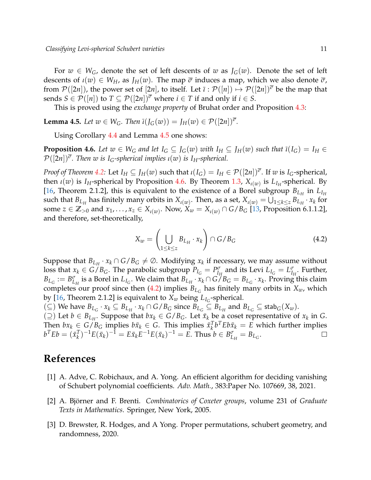For  $w \in W_G$ , denote the set of left descents of *w* as  $J_G(w)$ . Denote the set of left descents of  $\iota(w) \in W_H$ , as  $J_H(w)$ . The map  $\overline{\sigma}$  induces a map, which we also denote  $\overline{\sigma}$ , from  $\mathcal{P}([2n])$ , the power set of  $[2n]$ , to itself. Let  $\overline{\iota} : \mathcal{P}([n]) \mapsto \mathcal{P}([2n])^{\overline{\sigma}}$  be the map that sends  $S \in \mathcal{P}([n])$  to  $T \subseteq \mathcal{P}([2n])^{\overline{\sigma}}$  where  $i \in T$  if and only if  $i \in S$ .

This is proved using the *exchange property* of Bruhat order and Proposition [4.3:](#page-9-0)

<span id="page-10-3"></span>**Lemma 4.5.** *Let*  $w \in W_G$ *. Then*  $\overline{\iota}(J_G(w)) = J_H(w) \in \mathcal{P}([2n])^{\overline{\sigma}}$ *.* 

Using Corollary [4.4](#page-9-1) and Lemma [4.5](#page-10-3) one shows:

<span id="page-10-4"></span>**Proposition 4.6.** Let  $w \in W_G$  and let  $I_G \subseteq J_G(w)$  with  $I_H \subseteq J_H(w)$  such that  $\overline{\iota}(I_G) = I_H \in$  $\mathcal{P}([2n])^{\overline{\sigma}}$ . Then *w* is I<sub>G</sub>-spherical implies *ι*(*w*) is I<sub>H</sub>-spherical.

*Proof of Theorem* [4.2:](#page-9-2) Let  $I_H \subseteq J_H(w)$  such that  $\iota(I_G) = I_H \in \mathcal{P}([2n])^{\overline{\sigma}}$ . If  $w$  is  $I_G$ -spherical, then *ι*(*w*) is *IH*-spherical by Proposition [4.6.](#page-10-4) By Theorem [1.3,](#page-1-0) *Xι*(*w*) is *LI<sup>H</sup>* -spherical. By [\[16,](#page-11-14) Theorem 2.1.2], this is equivalent to the existence of a Borel subgroup  $B_{L_H}$  in  $L_{I_H}$ such that  $B_{L_H}$  has finitely many orbits in  $X_{\iota(w)}$ . Then, as a set,  $X_{\iota(w)} = \bigcup_{1\leq k\leq z}B_{L_H}\cdot x_k$  for some  $z \in \mathbb{Z}_{>0}$  and  $x_1, \ldots, x_z \in X_{\iota(w)}$ . Now,  $X_w = X_{\iota(w)} \cap G/B_G$  [\[13,](#page-11-13) Proposition 6.1.1.2], and therefore, set-theoretically,

<span id="page-10-5"></span>
$$
X_w = \left(\bigcup_{1 \le k \le z} B_{L_H} \cdot x_k\right) \cap G/B_G \tag{4.2}
$$

Suppose that  $B_{L_H} \cdot x_k \cap G/B_G \neq \emptyset$ . Modifying  $x_k$  if necessary, we may assume without loss that  $x_k \in G/B_G$ . The parabolic subgroup  $P_{I_G} = P_{I_H}^{\sigma}$  and its Levi  $L_{I_G} = L_{I_H}^{\sigma}$ . Further,  $B_{L_G} := B_{L_H}^{\sigma}$  is a Borel in  $L_{I_G}$ . We claim that  $B_{L_H} \cdot x_k \cap G/B_G = B_{L_G} \cdot x_k$ . Proving this claim completes our proof since then [\(4.2\)](#page-10-5) implies  $B_{L_G}$  has finitely many orbits in  $X_w$ , which by [\[16,](#page-11-14) Theorem 2.1.2] is equivalent to  $X_w$  being  $L_{I_G}$ -spherical.

 $(\subseteq)$  We have  $B_{L_G} \cdot x_k \subseteq B_{L_H} \cdot x_k \cap G/B_G$  since  $B_{L_G} \subseteq B_{L_H}$  and  $B_{L_G} \subseteq \text{stab}_G(X_w)$ .

 $( ⊇)$  Let *b* ∈ *B*<sub>*LH*</sub>. Suppose that *bx*<sub>*k*</sub> ∈ *G*/*B<sub>G</sub>*. Let  $\bar{x}_k$  be a coset representative of *x<sub>k</sub>* in *G*. Then  $bx_k \in G/B_G$  implies  $b\bar{x}_k \in G$ . This implies  $\bar{x}_k^T$  $\int_{k}^{T} b^{T} E b \bar{x}_{k} = E$  which further implies  $\int_{k}^{T}$ )<sup>-1</sup>E( $\bar{x}_{k}$ )<sup>-1</sup> = *E* $\bar{x}_{k}$ *E*<sup>-1</sup>*E*( $\bar{x}_{k}$ )<sup>-1</sup> = *E*. Thus  $b \in B_{L_{H}}^{\sigma}$  =  $B_{L_{G}}$ .  $b^T E b = (\bar{x}_k^T)$  $\Box$ 

## **References**

- <span id="page-10-1"></span>[1] A. Adve, C. Robichaux, and A. Yong. An efficient algorithm for deciding vanishing of Schubert polynomial coefficients. *Adv. Math.*, 383:Paper No. 107669, 38, 2021.
- <span id="page-10-2"></span>[2] A. Björner and F. Brenti. *Combinatorics of Coxeter groups*, volume 231 of *Graduate Texts in Mathematics*. Springer, New York, 2005.
- <span id="page-10-0"></span>[3] D. Brewster, R. Hodges, and A Yong. Proper permutations, schubert geometry, and randomness, 2020.